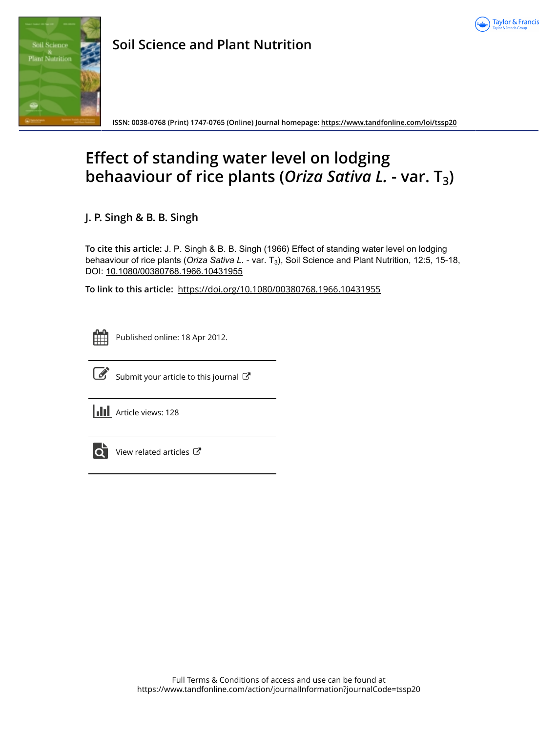



**Soil Science and Plant Nutrition**

**ISSN: 0038-0768 (Print) 1747-0765 (Online) Journal homepage:<https://www.tandfonline.com/loi/tssp20>**

# **Effect of standing water level on lodging behaaviour of rice plants (***Oriza Sativa L.* **- var. T3)**

**J. P. Singh & B. B. Singh**

**To cite this article:** J. P. Singh & B. B. Singh (1966) Effect of standing water level on lodging behaaviour of rice plants (*Oriza Sativa L. - var.* T<sub>3</sub>), Soil Science and Plant Nutrition, 12:5, 15-18, DOI: [10.1080/00380768.1966.10431955](https://www.tandfonline.com/action/showCitFormats?doi=10.1080/00380768.1966.10431955)

**To link to this article:** <https://doi.org/10.1080/00380768.1966.10431955>



Published online: 18 Apr 2012.



[Submit your article to this journal](https://www.tandfonline.com/action/authorSubmission?journalCode=tssp20&show=instructions)  $\mathbb{Z}$ 

**Article views: 128** 



[View related articles](https://www.tandfonline.com/doi/mlt/10.1080/00380768.1966.10431955) C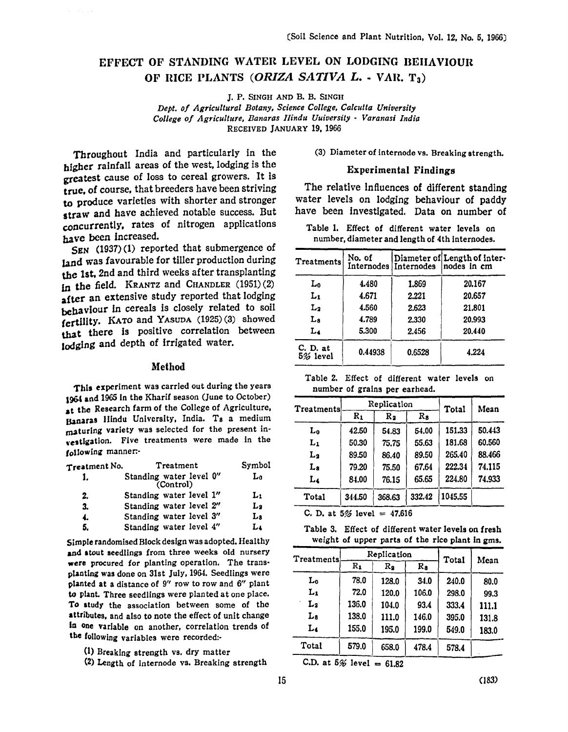## EFFECT OF STANDING WATER LEVEL ON LODGING BEIIAVIOUIt OF RICE PLANTS *(ORIZA SATIVA L. - VAR. T<sub>3</sub>)*

J. P. SINGH AND B. B. SINGH

*Dept. of Agricultural Botany, Science College, Calcutta University College of Agriculture, Banaras Hindu Uuiversity* - *Varanasi India*  RECEIVED JANUARY 19. 1966

Throughout India and particularly in the higher rainfall areas of the west, lodging is the greatest cause of loss to cereal growers. It is true, of course, that breeders have been striving to produce varieties with shorter and stronger straw and have achieved notable success. But concurrently, rates of nitrogen applications have been increased.

SEN (1937) (1) reported that submergence of land was favourable for tiller production during the 1st. 2nd and third weeks after transplanting in the field. KRANTZ and CHANDLER (1951) (2) after an extensive study reported that lodging behaviour in cereals is closely related to soil fertility. KATO and YASUDA (1925) (3) showed that there is positive correlation between lodging and depth of irrigated water.

#### Method

This experiment was carried out during the years 1964 and 1965 in the Kharif season (June to October) at the Research farm of the College of Agriculture. Banaras IIindu University. India. Ta a medium maturing variety was selected for the present in restigation. Five treatments were made in the following manner:-

| Treatment No. | Treatment                            | Symbol |
|---------------|--------------------------------------|--------|
| 1.            | Standing water level 0"<br>(Control) | L٥     |
| 2.            | Standing water level 1"              | L1     |
| 3.            | Standing water level 2"              | L2     |
| 4.            | Standing water level 3"              | La     |
| 5.            | Standing water level 4"              | Lı     |

Simple randomised Block design was adopted. Healthy and stout seedlings from three weeks old nursery were procured for planting operation. The transplanting was done on 31st July. 1964. Seedlings were planted at a distance of 9" row to row and 6" plant to plant. Three seedlings were planted at one place. To study the association between some of the attributes, and also to note the effect of unit change in one variable on another, correlation trends of the following variables were recorded:-

- (1) Breaking strength vs. dry matter
- (2) Length of internode vs. Breaking strength

(3) Diameter of internode vs. Breaking strength.

#### Experimental Findings

The relative influences of different standing water levels on lodging behaviour of paddy have been investigated. Data on number of

Table 1. Effect of different water levels on number. diameter and length of 4th Internodes.

| <b>Treatments</b>    | No. of  | Internodes   Internodes | Diameter of Length of Inter-<br>nodes in cm |
|----------------------|---------|-------------------------|---------------------------------------------|
| L <sub>0</sub>       | 4.480   | 1.869                   | 20.167                                      |
| $L_1$                | 4.671   | 2.221                   | 20.657                                      |
| L <sub>2</sub>       | 4.560   | 2.623                   | 21.801                                      |
| La                   | 4.789   | 2.330                   | 20.993                                      |
| L4                   | 5.300   | 2.456                   | 20.440                                      |
| C. D. at<br>5% level | 0.44938 | 0.6528                  | 4.224                                       |

Table 2. Effect of different water levels on number of grains per earhead.

| <b>Treatments</b> |        | Replication | Total  | Mean    |        |  |
|-------------------|--------|-------------|--------|---------|--------|--|
|                   | $R_1$  | R2          | Rs     |         |        |  |
| L <sub>0</sub>    | 42.50  | 54.83       | 54.00  | 151.33  | 50.443 |  |
| $L_1$             | 50.30  | 75.75       | 55.63  | 181.68  | 60.560 |  |
| L2                | 89.50  | 86.40       | 89.50  | 265.40  | 88.466 |  |
| La                | 79.20  | 75.50       | 67.64  | 222.34  | 74.115 |  |
| L4                | 84.00  | 76.15       | 65.65  | 224.80  | 74.933 |  |
| Total             | 344.50 | 368.63      | 332.42 | 1045.55 |        |  |

C. D. at  $5%$  level =  $47.616$ 

Table 3. Effect of different water levels on fresh weight of upper parts of the rice plant In gms.

| Treatments     |         | Replication | Total       |       |       |
|----------------|---------|-------------|-------------|-------|-------|
|                | $R_{1}$ | R2          | $R_{\rm a}$ |       | Mean  |
| Lo             | 78.0    | 128.0       | 34.0        | 240.0 | 80.0  |
| Lı             | 72.0    | 120.0       | 106.0       | 298.0 | 99.3  |
| L <sub>2</sub> | 136.0   | 104.0       | 93.4        | 333.4 | 111.1 |
| La             | 138.0   | 111.0       | 146.0       | 395.0 | 131.8 |
| L <sub>4</sub> | 155.0   | 195.0       | 199.0       | 549.0 | 183.0 |
| Total          | 579.0   | 658.0       | 478.4       | 578.4 |       |
|                |         |             |             |       |       |

C.D. at  $5%$  level = 61.82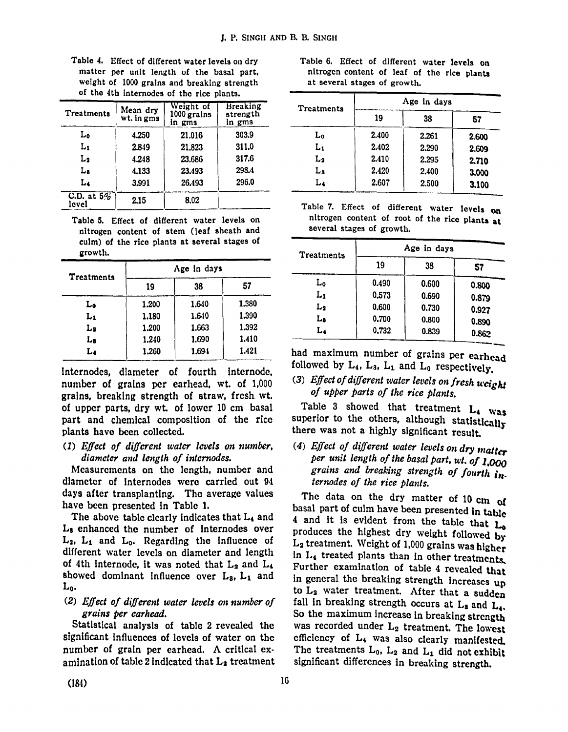| Table 4. Effect of different water levels on dry                                         |  |  |  |  |
|------------------------------------------------------------------------------------------|--|--|--|--|
| matter per unit length of the basal part,                                                |  |  |  |  |
| weight of 1000 grains and breaking strength<br>of the 4th internodes of the rice plants. |  |  |  |  |

|                        | of the 4th internodes of the rice plants. |                                    |                                       |  |  |  |  |  |
|------------------------|-------------------------------------------|------------------------------------|---------------------------------------|--|--|--|--|--|
| Treatments             | Mean dry<br>wt. in gms                    | Weight of<br>1000 grains<br>in gms | <b>Breaking</b><br>strength<br>in gms |  |  |  |  |  |
| Lο                     | 4.250                                     | 21.016                             | 303.9                                 |  |  |  |  |  |
| L1                     | 2.849                                     | 21,823                             | 311.0                                 |  |  |  |  |  |
| L2                     | 4.248                                     | 23,686                             | 317.6                                 |  |  |  |  |  |
| Ls                     | 4.133                                     | 23.493                             | 298.4                                 |  |  |  |  |  |
| Lı                     | 3.991                                     | 26.493                             | 296.0                                 |  |  |  |  |  |
| C.D. at $5\%$<br>level | 2.15                                      | 8.02                               |                                       |  |  |  |  |  |

Table 5. Effect of different water levels on nitrogen content of stem (leaf sheath and culm) of the rice plants at several stages of growth.

| <b>Treatments</b> | Age in days |       |       |  |  |  |
|-------------------|-------------|-------|-------|--|--|--|
|                   | 19          | 38    | 57    |  |  |  |
| L0                | 1.200       | 1.640 | 1.380 |  |  |  |
| Lı                | 1.180       | 1.640 | 1.390 |  |  |  |
| L2                | 1.200       | 1.663 | 1.392 |  |  |  |
| Ls                | 1.240       | 1.690 | 1.410 |  |  |  |
| Lı                | 1.260       | 1.694 | 1.421 |  |  |  |

Internodes, diameter of fourth internode, number of grains per earhead, wt. of 1,000 grains, breaking strength of straw, fresh wt. of upper parts, dry wt. of lower 10 cm basal part and chemical composition of the rice plants have been collected.

*(1) Effect of different water levels on number, diameter and length of internodes.* 

Measurements on the length, number and diameter of Internodes were carried out 94 days after transplanting. The average values have been presented in Table 1.

The above table clearly indicates that L<sub>4</sub> and La enhanced the number of Internodes over  $L_2$ ,  $L_1$  and  $L_0$ . Regarding the influence of different water levels on diameter and length of 4th internode, it was noted that  $L_2$  and  $L_4$ showed dominant influence over  $L_3$ ,  $L_1$  and Lo.

## (2) Effect of different water levels on number of *grains per earhead.*

Statistical analysis of table 2 revealed the significant influences of levels of water on the number of grain per earhead. A critical examination of table 2 indicated that  $L_2$  treatment

| Table 6. Effect of different water levels on |  |  |  |  |
|----------------------------------------------|--|--|--|--|
| nitrogen content of leaf of the rice plants  |  |  |  |  |
| at several stages of growth.                 |  |  |  |  |

| Treatments | Age in days |       |       |  |  |  |
|------------|-------------|-------|-------|--|--|--|
|            | 19          | 38    | 57    |  |  |  |
| L0         | 2.400       | 2.261 | 2.600 |  |  |  |
| L1         | 2.402       | 2.290 | 2.609 |  |  |  |
| $L_2$      | 2.410       | 2.295 | 2.710 |  |  |  |
| La         | 2.420       | 2.400 | 3.000 |  |  |  |
| L4         | 2.607       | 2.500 | 3.100 |  |  |  |

Table 7. Effect of different water levels on nitrogen content of root of the rice plants at several stages of growth.

| Treatments | Age in days |       |       |  |  |  |
|------------|-------------|-------|-------|--|--|--|
|            | 19          | 38    | 57    |  |  |  |
| Lo         | 0.490       | 0.600 | 0.800 |  |  |  |
| Lı         | 0.573       | 0.690 | 0.879 |  |  |  |
| L2         | 0.600       | 0.730 | 0.927 |  |  |  |
| La         | 0.700       | 0.800 | 0.890 |  |  |  |
| Lı         | 0.732       | 0.839 | 0.862 |  |  |  |

had maximum number of grains per earhead followed by  $L_4$ ,  $L_3$ ,  $L_1$  and  $L_0$  respectively.

# (3) Effect of different water levels on fresh weight *of upper parts of the rice plants.*

Table 3 showed that treatment  $L_4$  was superior to the others, although statistically there was not a highly significant result.

*(4) Effect of different water levels on dry matter per unit length of the basal part, wi. of 1.000 grains and breaking strength of fourth internodes of the rice plants.* 

The data on the dry matter of 10 cm of basal part of culm have been presented in table 4 and it is evident from the table that  $L_0$ produces the highest dry weight followed by  $L_2$  treatment. Weight of 1,000 grains was higher in L<sub>4</sub> treated plants than in other treatments. Further examination of table 4 revealed that in general the breaking strength increases up to  $L_2$  water treatment. After that a sudden fall in breaking strength occurs at  $L_3$  and  $L_4$ . So the maximum increase in breaking strength was recorded under L<sub>2</sub> treatment. The lowest efficiency of  $L_4$  was also clearly manifested. The treatments  $L_0$ ,  $L_2$  and  $L_1$  did not exhibit significant differences in breaking strength.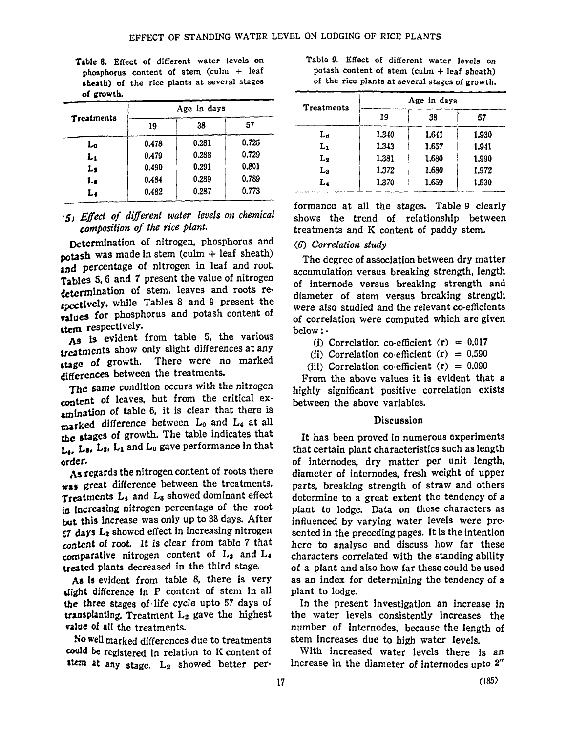| Table 8. Effect of different water levels on            |  |  |  |  |
|---------------------------------------------------------|--|--|--|--|
| phosphorus content of stem $\text{cum } + \text{ leaf}$ |  |  |  |  |
| sheath) of the rice plants at several stages            |  |  |  |  |
| of growth.                                              |  |  |  |  |

| Treatments | Age in days |       |       |  |  |  |
|------------|-------------|-------|-------|--|--|--|
|            | 19          | 38    | 57    |  |  |  |
| Lo         | 0.478       | 0.281 | 0.725 |  |  |  |
| $L_1$      | 0.479       | 0.288 | 0.729 |  |  |  |
| L2         | 0.490       | 0.291 | 0.801 |  |  |  |
| L,         | 0.484       | 0.289 | 0.789 |  |  |  |
| L.         | 0.482       | 0.287 | 0.773 |  |  |  |

## *(5) Effect of different water levels on chemical composition of the rice plant.*

Determination of nitrogen, phosphorus and potash was made in stem (culm  $+$  leaf sheath) and percentage of nitrogen in leaf and root. Tables 5,6 and 7 present the value of nitrogen determInation of stem, leaves and roots re spectively, while Tables 8 and 9 present the values for phosphorus and potash content of ttem respectively.

As is evident from table 5, the various treatments show only slight differences at any stage of growth. There were no marked differences between the treatments.

The same condition occurs with the nitrogen content of leaves. but from the critical examination of table 6, it is clear that there is marked difference between L<sub>0</sub> and L<sub>4</sub> at all the atages of growth. The table indicates that  $L_4$ , L<sub>3</sub>, L<sub>2</sub>, L<sub>1</sub> and L<sub>0</sub> gave performance in that order.

As regards the nitrogen content of roots there was great difference between the treatments. Treatments L<sub>1</sub> and L<sub>8</sub> showed dominant effect in increasing nitrogen percentage of the root but this increase was only up to 38 days. After  $57$  days  $L_2$  showed effect in increasing nitrogen content of root. It is clear from table 7 that comparative nitrogen content of  $L_3$  and  $L_4$ treated plants decreased in the third stage.

As is evident from table 8, there is very llight difference in P content of stem in all the three stages of . life cycle upto 57 days of transplanting. Treatment  $L_2$  gave the highest value of all the treatments.

So well marked differences due to treatments could be registered in relation to K content of atany stage. L<sub>2</sub> showed better per-

| Table 9. Effect of different water levels on    |  |  |
|-------------------------------------------------|--|--|
| potash content of stem $(culm + leaf sheath)$   |  |  |
| of the rice plants at several stages of growth. |  |  |

| Treatments | Age in days |       |       |  |
|------------|-------------|-------|-------|--|
|            | 19          | 38    | 57    |  |
| Lo         | 1.340       | 1.641 | 1.930 |  |
| $L_1$      | 1.343       | 1.657 | 1.941 |  |
| $L_{2}$    | 1.381       | 1.680 | 1.990 |  |
| Ls         | 1.372       | 1.680 | 1.972 |  |
| $L_4$      | 1.370       | 1.659 | 1.530 |  |

formance at all the stages. Table 9 clearly shows the trend of relationship between treatments and K content of paddy stem.

#### *(6) Correlation study*

The degree of association between dry matter accumulation versus breaking strength, length of internode versus breaking strength and diameter of stem versus breaking strength were also studied and the relevant co-efficients of correlation were computed which arc given below: .

(i) Correlation co-efficient  $(r) = 0.017$ 

(ii) Correlation co-efficient  $(r) = 0.590$ 

(iii) Correlation co-efficient  $(r) = 0.090$ 

From the above values it is evident that a highly significant positive correlation exists between the above variables.

#### Discussion

It has been proved in numerous experiments that certain plant characteristics such as length of internodes, dry matter per unit length, diameter of internodes, fresh weight of upper parts, breaking strength of straw and others determine to a great extent the tendency of a plant to lodge. Data on these characters as influenced by varying water levels were presented in the preceding pages. It is the intention here to analyse and discuss how far these characters correlated with the standing ability of a plant and also how far these could be used as an index for determining the tendency of a plant to lodge.

In the present investigation an increase in the water levels consistently increases the number of internodes, because the length of stem increases due to high water levels.

With increased water levels there is an increase in the diameter of internodes upto 2"